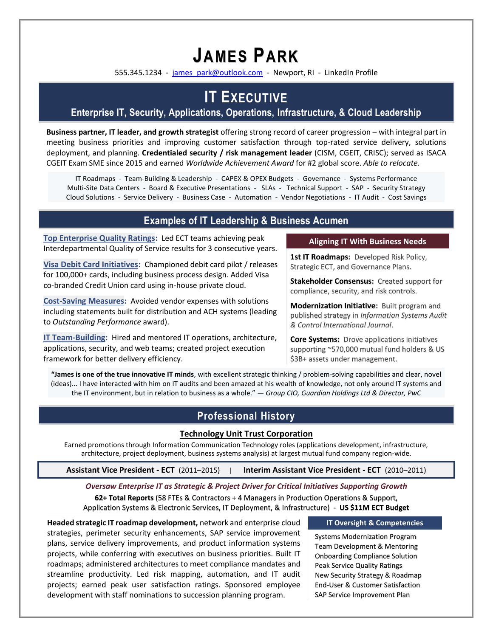# **JAMES PARK**

555.345.1234 - [james\\_park@outlook.com](mailto:james_park@outlook.com) - Newport, RI - LinkedIn Profile

## **IT EXECUTIVE**

### **Enterprise IT, Security, Applications, Operations, Infrastructure, & Cloud Leadership**

**Business partner, IT leader, and growth strategist** offering strong record of career progression – with integral part in meeting business priorities and improving customer satisfaction through top-rated service delivery, solutions deployment, and planning. **Credentialed security / risk management leader** (CISM, CGEIT, CRISC); served as ISACA CGEIT Exam SME since 2015 and earned *Worldwide Achievement Award* for #2 global score. *Able to relocate.*

IT Roadmaps - Team-Building & Leadership - CAPEX & OPEX Budgets - Governance - Systems Performance Multi-Site Data Centers - Board & Executive Presentations - SLAs - Technical Support - SAP - Security Strategy Cloud Solutions - Service Delivery - Business Case - Automation - Vendor Negotiations - IT Audit - Cost Savings

#### **Examples of IT Leadership & Business Acumen**

**Top Enterprise Quality Ratings:** Led ECT teams achieving peak Interdepartmental Quality of Service results for 3 consecutive years.

**Visa Debit Card Initiatives:** Championed debit card pilot / releases for 100,000+ cards, including business process design. Added Visa co-branded Credit Union card using in-house private cloud.

**Cost-Saving Measures:** Avoided vendor expenses with solutions including statements built for distribution and ACH systems (leading to *Outstanding Performance* award).

**IT Team-Building:** Hired and mentored IT operations, architecture, applications, security, and web teams; created project execution framework for better delivery efficiency.

#### **Aligning IT With Business Needs**

1st IT Roadmaps: Developed Risk Policy, Strategic ECT, and Governance Plans.

**Stakeholder Consensus:** Created support for compliance, security, and risk controls.

**Modernization Initiative:** Built program and published strategy in *Information Systems Audit & Control International Journal*.

**Core Systems:** Drove applications initiatives supporting ~570,000 mutual fund holders & US \$3B+ assets under management.

**"James is one of the true innovative IT minds**, with excellent strategic thinking / problem-solving capabilities and clear, novel (ideas)... I have interacted with him on IT audits and been amazed at his wealth of knowledge, not only around IT systems and the IT environment, but in relation to business as a whole." *— Group CIO, Guardian Holdings Ltd & Director, PwC*

#### **Professional History**

#### **Technology Unit Trust Corporation**

Earned promotions through Information Communication Technology roles (applications development, infrastructure, architecture, project deployment, business systems analysis) at largest mutual fund company region-wide.

**Assistant Vice President - ECT** (2011–2015) | **Interim Assistant Vice President - ECT** (2010–2011)

#### *Oversaw Enterprise IT as Strategic & Project Driver for Critical Initiatives Supporting Growth*

**62+ Total Reports** (58 FTEs & Contractors + 4 Managers in Production Operations & Support, Application Systems & Electronic Services, IT Deployment, & Infrastructure) - **US \$11M ECT Budget**

**Headed strategic IT roadmap development,** network and enterprise cloud strategies, perimeter security enhancements, SAP service improvement plans, service delivery improvements, and product information systems projects, while conferring with executives on business priorities. Built IT roadmaps; administered architectures to meet compliance mandates and streamline productivity. Led risk mapping, automation, and IT audit projects; earned peak user satisfaction ratings. Sponsored employee development with staff nominations to succession planning program.

#### **IT Oversight & Competencies**

Systems Modernization Program Team Development & Mentoring Onboarding Compliance Solution Peak Service Quality Ratings New Security Strategy & Roadmap End-User & Customer Satisfaction SAP Service Improvement Plan